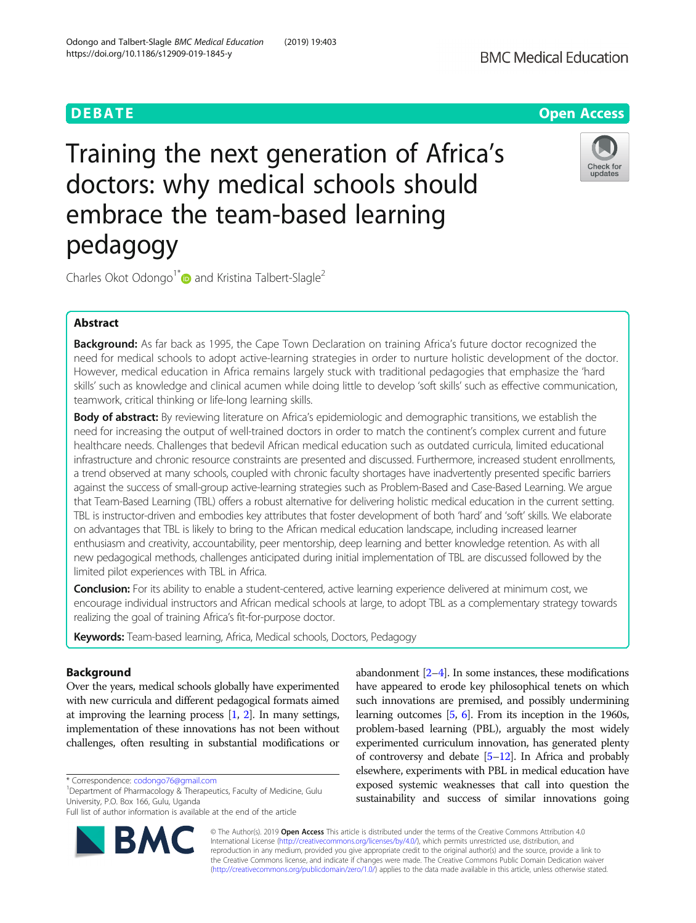https://doi.org/10.1186/s12909-019-1845-y

# Training the next generation of Africa's doctors: why medical schools should embrace the team-based learning pedagogy

Charles Okot Odongo<sup>1\*</sup> and Kristina Talbert-Slagle<sup>2</sup>

## Abstract

Background: As far back as 1995, the Cape Town Declaration on training Africa's future doctor recognized the need for medical schools to adopt active-learning strategies in order to nurture holistic development of the doctor. However, medical education in Africa remains largely stuck with traditional pedagogies that emphasize the 'hard skills' such as knowledge and clinical acumen while doing little to develop 'soft skills' such as effective communication, teamwork, critical thinking or life-long learning skills.

**Body of abstract:** By reviewing literature on Africa's epidemiologic and demographic transitions, we establish the need for increasing the output of well-trained doctors in order to match the continent's complex current and future healthcare needs. Challenges that bedevil African medical education such as outdated curricula, limited educational infrastructure and chronic resource constraints are presented and discussed. Furthermore, increased student enrollments, a trend observed at many schools, coupled with chronic faculty shortages have inadvertently presented specific barriers against the success of small-group active-learning strategies such as Problem-Based and Case-Based Learning. We argue that Team-Based Learning (TBL) offers a robust alternative for delivering holistic medical education in the current setting. TBL is instructor-driven and embodies key attributes that foster development of both 'hard' and 'soft' skills. We elaborate on advantages that TBL is likely to bring to the African medical education landscape, including increased learner enthusiasm and creativity, accountability, peer mentorship, deep learning and better knowledge retention. As with all new pedagogical methods, challenges anticipated during initial implementation of TBL are discussed followed by the limited pilot experiences with TBL in Africa.

Conclusion: For its ability to enable a student-centered, active learning experience delivered at minimum cost, we encourage individual instructors and African medical schools at large, to adopt TBL as a complementary strategy towards realizing the goal of training Africa's fit-for-purpose doctor.

Keywords: Team-based learning, Africa, Medical schools, Doctors, Pedagogy

## Background

Over the years, medical schools globally have experimented with new curricula and different pedagogical formats aimed at improving the learning process  $[1, 2]$  $[1, 2]$  $[1, 2]$  $[1, 2]$ . In many settings, implementation of these innovations has not been without challenges, often resulting in substantial modifications or

\* Correspondence: [codongo76@gmail.com](mailto:codongo76@gmail.com) <sup>1</sup>

Department of Pharmacology & Therapeutics, Faculty of Medicine, Gulu University, P.O. Box 166, Gulu, Uganda

Full list of author information is available at the end of the article

© The Author(s). 2019 Open Access This article is distributed under the terms of the Creative Commons Attribution 4.0 International License [\(http://creativecommons.org/licenses/by/4.0/](http://creativecommons.org/licenses/by/4.0/)), which permits unrestricted use, distribution, and reproduction in any medium, provided you give appropriate credit to the original author(s) and the source, provide a link to the Creative Commons license, and indicate if changes were made. The Creative Commons Public Domain Dedication waiver [\(http://creativecommons.org/publicdomain/zero/1.0/](http://creativecommons.org/publicdomain/zero/1.0/)) applies to the data made available in this article, unless otherwise stated.

abandonment [[2](#page-6-0)–[4\]](#page-6-0). In some instances, these modifications have appeared to erode key philosophical tenets on which such innovations are premised, and possibly undermining learning outcomes [[5](#page-6-0), [6\]](#page-6-0). From its inception in the 1960s, problem-based learning (PBL), arguably the most widely experimented curriculum innovation, has generated plenty of controversy and debate [\[5](#page-6-0)–[12\]](#page-6-0). In Africa and probably elsewhere, experiments with PBL in medical education have exposed systemic weaknesses that call into question the sustainability and success of similar innovations going





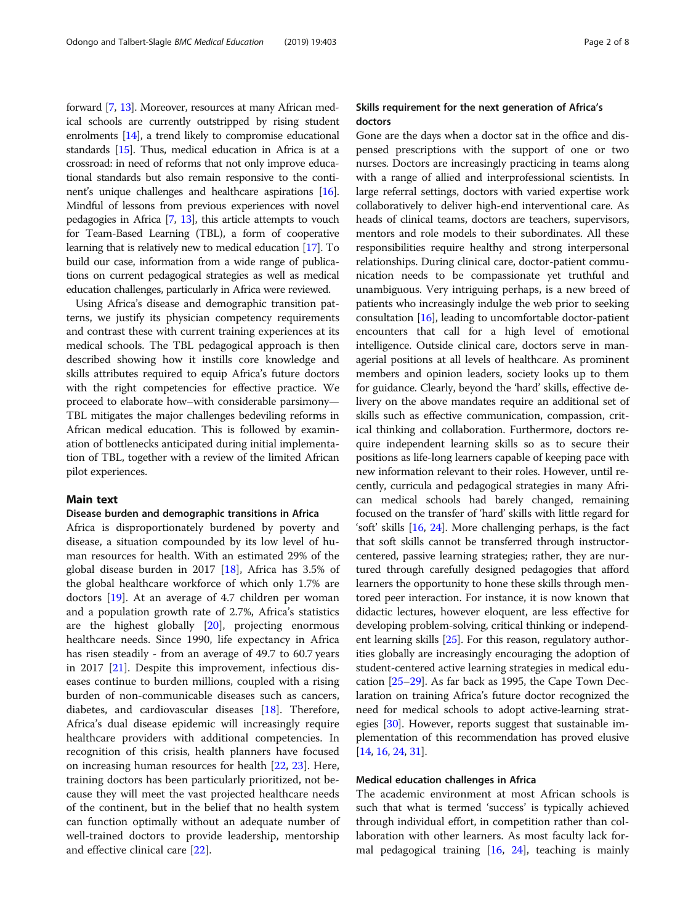forward [\[7,](#page-6-0) [13](#page-6-0)]. Moreover, resources at many African medical schools are currently outstripped by rising student enrolments [\[14\]](#page-6-0), a trend likely to compromise educational standards [\[15\]](#page-6-0). Thus, medical education in Africa is at a crossroad: in need of reforms that not only improve educational standards but also remain responsive to the continent's unique challenges and healthcare aspirations [\[16](#page-6-0)]. Mindful of lessons from previous experiences with novel pedagogies in Africa [\[7](#page-6-0), [13](#page-6-0)], this article attempts to vouch for Team-Based Learning (TBL), a form of cooperative learning that is relatively new to medical education [\[17](#page-6-0)]. To build our case, information from a wide range of publications on current pedagogical strategies as well as medical education challenges, particularly in Africa were reviewed.

Using Africa's disease and demographic transition patterns, we justify its physician competency requirements and contrast these with current training experiences at its medical schools. The TBL pedagogical approach is then described showing how it instills core knowledge and skills attributes required to equip Africa's future doctors with the right competencies for effective practice. We proceed to elaborate how–with considerable parsimony— TBL mitigates the major challenges bedeviling reforms in African medical education. This is followed by examination of bottlenecks anticipated during initial implementation of TBL, together with a review of the limited African pilot experiences.

## Main text

#### Disease burden and demographic transitions in Africa

Africa is disproportionately burdened by poverty and disease, a situation compounded by its low level of human resources for health. With an estimated 29% of the global disease burden in 2017 [\[18\]](#page-6-0), Africa has 3.5% of the global healthcare workforce of which only 1.7% are doctors [[19](#page-6-0)]. At an average of 4.7 children per woman and a population growth rate of 2.7%, Africa's statistics are the highest globally [[20](#page-6-0)], projecting enormous healthcare needs. Since 1990, life expectancy in Africa has risen steadily - from an average of 49.7 to 60.7 years in 2017 [\[21](#page-6-0)]. Despite this improvement, infectious diseases continue to burden millions, coupled with a rising burden of non-communicable diseases such as cancers, diabetes, and cardiovascular diseases [\[18](#page-6-0)]. Therefore, Africa's dual disease epidemic will increasingly require healthcare providers with additional competencies. In recognition of this crisis, health planners have focused on increasing human resources for health [[22,](#page-6-0) [23\]](#page-6-0). Here, training doctors has been particularly prioritized, not because they will meet the vast projected healthcare needs of the continent, but in the belief that no health system can function optimally without an adequate number of well-trained doctors to provide leadership, mentorship and effective clinical care [[22\]](#page-6-0).

## Skills requirement for the next generation of Africa's doctors

Gone are the days when a doctor sat in the office and dispensed prescriptions with the support of one or two nurses. Doctors are increasingly practicing in teams along with a range of allied and interprofessional scientists. In large referral settings, doctors with varied expertise work collaboratively to deliver high-end interventional care. As heads of clinical teams, doctors are teachers, supervisors, mentors and role models to their subordinates. All these responsibilities require healthy and strong interpersonal relationships. During clinical care, doctor-patient communication needs to be compassionate yet truthful and unambiguous. Very intriguing perhaps, is a new breed of patients who increasingly indulge the web prior to seeking consultation [[16\]](#page-6-0), leading to uncomfortable doctor-patient encounters that call for a high level of emotional intelligence. Outside clinical care, doctors serve in managerial positions at all levels of healthcare. As prominent members and opinion leaders, society looks up to them for guidance. Clearly, beyond the 'hard' skills, effective delivery on the above mandates require an additional set of skills such as effective communication, compassion, critical thinking and collaboration. Furthermore, doctors require independent learning skills so as to secure their positions as life-long learners capable of keeping pace with new information relevant to their roles. However, until recently, curricula and pedagogical strategies in many African medical schools had barely changed, remaining focused on the transfer of 'hard' skills with little regard for 'soft' skills [[16](#page-6-0), [24\]](#page-6-0). More challenging perhaps, is the fact that soft skills cannot be transferred through instructorcentered, passive learning strategies; rather, they are nurtured through carefully designed pedagogies that afford learners the opportunity to hone these skills through mentored peer interaction. For instance, it is now known that didactic lectures, however eloquent, are less effective for developing problem-solving, critical thinking or independent learning skills [[25](#page-6-0)]. For this reason, regulatory authorities globally are increasingly encouraging the adoption of student-centered active learning strategies in medical education [\[25](#page-6-0)–[29\]](#page-7-0). As far back as 1995, the Cape Town Declaration on training Africa's future doctor recognized the need for medical schools to adopt active-learning strategies [\[30\]](#page-7-0). However, reports suggest that sustainable implementation of this recommendation has proved elusive [[14](#page-6-0), [16,](#page-6-0) [24](#page-6-0), [31](#page-7-0)].

## Medical education challenges in Africa

The academic environment at most African schools is such that what is termed 'success' is typically achieved through individual effort, in competition rather than collaboration with other learners. As most faculty lack formal pedagogical training [\[16,](#page-6-0) [24\]](#page-6-0), teaching is mainly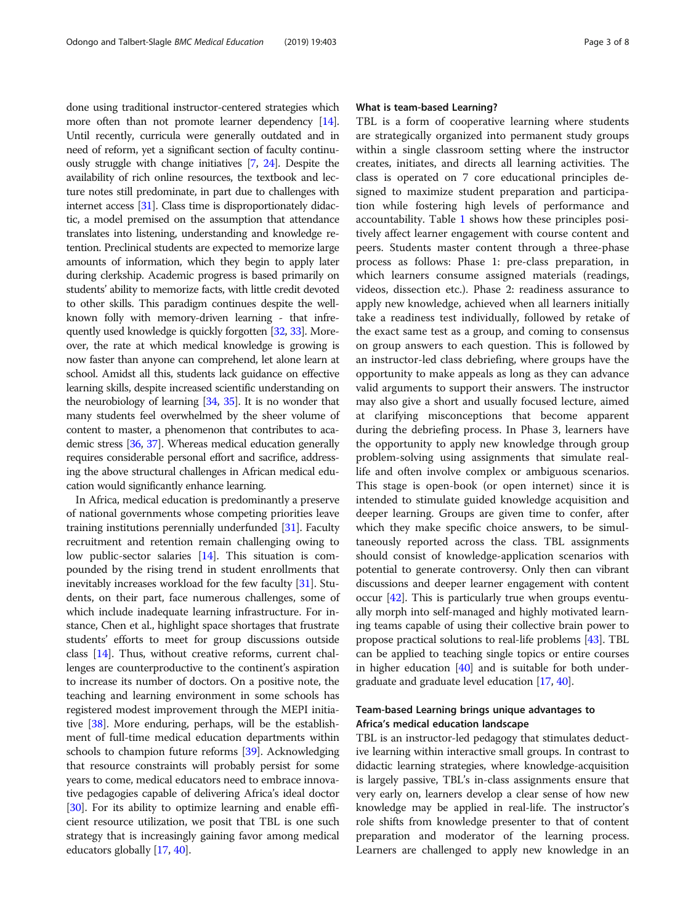done using traditional instructor-centered strategies which more often than not promote learner dependency [\[14](#page-6-0)]. Until recently, curricula were generally outdated and in need of reform, yet a significant section of faculty continuously struggle with change initiatives [\[7](#page-6-0), [24\]](#page-6-0). Despite the availability of rich online resources, the textbook and lecture notes still predominate, in part due to challenges with internet access [[31](#page-7-0)]. Class time is disproportionately didactic, a model premised on the assumption that attendance translates into listening, understanding and knowledge retention. Preclinical students are expected to memorize large amounts of information, which they begin to apply later during clerkship. Academic progress is based primarily on students' ability to memorize facts, with little credit devoted to other skills. This paradigm continues despite the wellknown folly with memory-driven learning - that infrequently used knowledge is quickly forgotten [\[32,](#page-7-0) [33\]](#page-7-0). Moreover, the rate at which medical knowledge is growing is now faster than anyone can comprehend, let alone learn at school. Amidst all this, students lack guidance on effective learning skills, despite increased scientific understanding on the neurobiology of learning [\[34,](#page-7-0) [35\]](#page-7-0). It is no wonder that many students feel overwhelmed by the sheer volume of content to master, a phenomenon that contributes to academic stress [\[36,](#page-7-0) [37](#page-7-0)]. Whereas medical education generally requires considerable personal effort and sacrifice, addressing the above structural challenges in African medical education would significantly enhance learning.

In Africa, medical education is predominantly a preserve of national governments whose competing priorities leave training institutions perennially underfunded [[31](#page-7-0)]. Faculty recruitment and retention remain challenging owing to low public-sector salaries [[14](#page-6-0)]. This situation is compounded by the rising trend in student enrollments that inevitably increases workload for the few faculty [\[31\]](#page-7-0). Students, on their part, face numerous challenges, some of which include inadequate learning infrastructure. For instance, Chen et al., highlight space shortages that frustrate students' efforts to meet for group discussions outside class [[14](#page-6-0)]. Thus, without creative reforms, current challenges are counterproductive to the continent's aspiration to increase its number of doctors. On a positive note, the teaching and learning environment in some schools has registered modest improvement through the MEPI initiative [\[38\]](#page-7-0). More enduring, perhaps, will be the establishment of full-time medical education departments within schools to champion future reforms [\[39\]](#page-7-0). Acknowledging that resource constraints will probably persist for some years to come, medical educators need to embrace innovative pedagogies capable of delivering Africa's ideal doctor [[30](#page-7-0)]. For its ability to optimize learning and enable efficient resource utilization, we posit that TBL is one such strategy that is increasingly gaining favor among medical educators globally [\[17](#page-6-0), [40](#page-7-0)].

## What is team-based Learning?

TBL is a form of cooperative learning where students are strategically organized into permanent study groups within a single classroom setting where the instructor creates, initiates, and directs all learning activities. The class is operated on 7 core educational principles designed to maximize student preparation and participation while fostering high levels of performance and accountability. Table [1](#page-3-0) shows how these principles positively affect learner engagement with course content and peers. Students master content through a three-phase process as follows: Phase 1: pre-class preparation, in which learners consume assigned materials (readings, videos, dissection etc.). Phase 2: readiness assurance to apply new knowledge, achieved when all learners initially take a readiness test individually, followed by retake of the exact same test as a group, and coming to consensus on group answers to each question. This is followed by an instructor-led class debriefing, where groups have the opportunity to make appeals as long as they can advance valid arguments to support their answers. The instructor may also give a short and usually focused lecture, aimed at clarifying misconceptions that become apparent during the debriefing process. In Phase 3, learners have the opportunity to apply new knowledge through group problem-solving using assignments that simulate reallife and often involve complex or ambiguous scenarios. This stage is open-book (or open internet) since it is intended to stimulate guided knowledge acquisition and deeper learning. Groups are given time to confer, after which they make specific choice answers, to be simultaneously reported across the class. TBL assignments should consist of knowledge-application scenarios with potential to generate controversy. Only then can vibrant discussions and deeper learner engagement with content occur [[42\]](#page-7-0). This is particularly true when groups eventually morph into self-managed and highly motivated learning teams capable of using their collective brain power to propose practical solutions to real-life problems [\[43\]](#page-7-0). TBL can be applied to teaching single topics or entire courses in higher education  $[40]$  $[40]$  $[40]$  and is suitable for both undergraduate and graduate level education [\[17,](#page-6-0) [40](#page-7-0)].

## Team-based Learning brings unique advantages to Africa's medical education landscape

TBL is an instructor-led pedagogy that stimulates deductive learning within interactive small groups. In contrast to didactic learning strategies, where knowledge-acquisition is largely passive, TBL's in-class assignments ensure that very early on, learners develop a clear sense of how new knowledge may be applied in real-life. The instructor's role shifts from knowledge presenter to that of content preparation and moderator of the learning process. Learners are challenged to apply new knowledge in an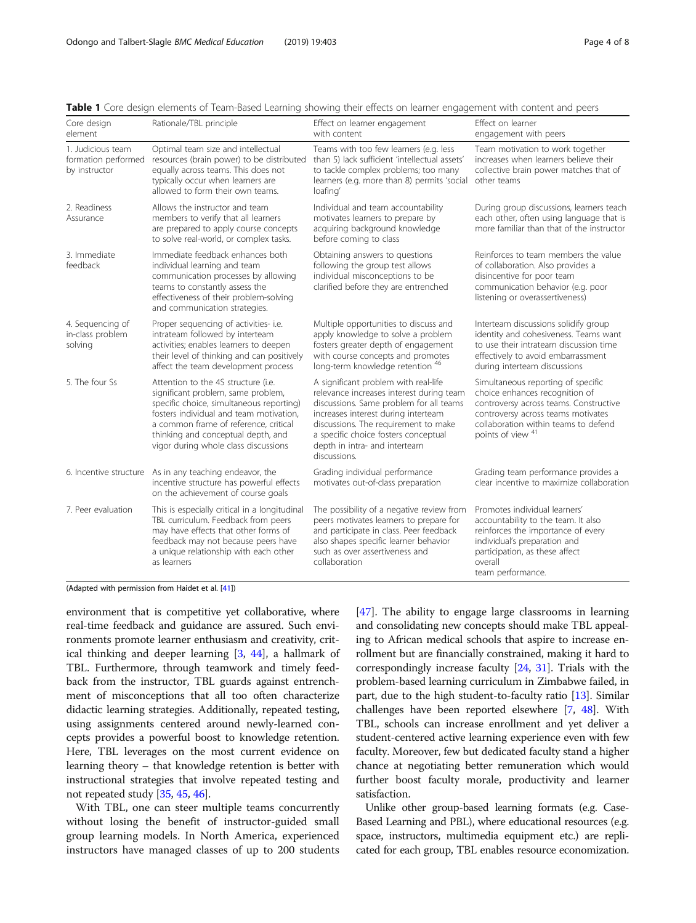| Core design<br>element                                    | Rationale/TBL principle                                                                                                                                                                                                                                                                 | Effect on learner engagement<br>with content                                                                                                                                                                                                                                                        | Effect on learner<br>engagement with peers<br>Team motivation to work together<br>increases when learners believe their<br>collective brain power matches that of<br>other teams                                  |  |  |  |
|-----------------------------------------------------------|-----------------------------------------------------------------------------------------------------------------------------------------------------------------------------------------------------------------------------------------------------------------------------------------|-----------------------------------------------------------------------------------------------------------------------------------------------------------------------------------------------------------------------------------------------------------------------------------------------------|-------------------------------------------------------------------------------------------------------------------------------------------------------------------------------------------------------------------|--|--|--|
| 1. Judicious team<br>formation performed<br>by instructor | Optimal team size and intellectual<br>resources (brain power) to be distributed<br>equally across teams. This does not<br>typically occur when learners are<br>allowed to form their own teams.                                                                                         | Teams with too few learners (e.g. less<br>than 5) lack sufficient 'intellectual assets'<br>to tackle complex problems; too many<br>learners (e.g. more than 8) permits 'social<br>loafing'                                                                                                          |                                                                                                                                                                                                                   |  |  |  |
| 2. Readiness<br>Assurance                                 | Allows the instructor and team<br>members to verify that all learners<br>are prepared to apply course concepts<br>to solve real-world, or complex tasks.                                                                                                                                | Individual and team accountability<br>motivates learners to prepare by<br>acquiring background knowledge<br>before coming to class                                                                                                                                                                  | During group discussions, learners teach<br>each other, often using language that is<br>more familiar than that of the instructor                                                                                 |  |  |  |
| 3. Immediate<br>feedback                                  | Immediate feedback enhances both<br>individual learning and team<br>communication processes by allowing<br>teams to constantly assess the<br>effectiveness of their problem-solving<br>and communication strategies.                                                                    | Obtaining answers to questions<br>following the group test allows<br>individual misconceptions to be<br>clarified before they are entrenched                                                                                                                                                        | Reinforces to team members the value<br>of collaboration. Also provides a<br>disincentive for poor team<br>communication behavior (e.g. poor<br>listening or overassertiveness)                                   |  |  |  |
| 4. Sequencing of<br>in-class problem<br>solving           | Proper sequencing of activities- i.e.<br>intrateam followed by interteam<br>activities; enables learners to deepen<br>their level of thinking and can positively<br>affect the team development process                                                                                 | Multiple opportunities to discuss and<br>apply knowledge to solve a problem<br>fosters greater depth of engagement<br>with course concepts and promotes<br>long-term knowledge retention 46                                                                                                         | Interteam discussions solidify group<br>identity and cohesiveness. Teams want<br>to use their intrateam discussion time<br>effectively to avoid embarrassment<br>during interteam discussions                     |  |  |  |
| 5. The four Ss                                            | Attention to the 4S structure (i.e.<br>significant problem, same problem,<br>specific choice, simultaneous reporting)<br>fosters individual and team motivation,<br>a common frame of reference, critical<br>thinking and conceptual depth, and<br>vigor during whole class discussions | A significant problem with real-life<br>relevance increases interest during team<br>discussions. Same problem for all teams<br>increases interest during interteam<br>discussions. The requirement to make<br>a specific choice fosters conceptual<br>depth in intra- and interteam<br>discussions. | Simultaneous reporting of specific<br>choice enhances recognition of<br>controversy across teams. Constructive<br>controversy across teams motivates<br>collaboration within teams to defend<br>points of view 41 |  |  |  |
| 6. Incentive structure                                    | As in any teaching endeavor, the<br>incentive structure has powerful effects<br>on the achievement of course goals                                                                                                                                                                      | Grading individual performance<br>motivates out-of-class preparation                                                                                                                                                                                                                                | Grading team performance provides a<br>clear incentive to maximize collaboration                                                                                                                                  |  |  |  |
| 7. Peer evaluation                                        | This is especially critical in a longitudinal<br>TBL curriculum. Feedback from peers<br>may have effects that other forms of<br>feedback may not because peers have<br>a unique relationship with each other<br>as learners                                                             | The possibility of a negative review from<br>peers motivates learners to prepare for<br>and participate in class. Peer feedback<br>also shapes specific learner behavior<br>such as over assertiveness and<br>collaboration                                                                         | Promotes individual learners'<br>accountability to the team. It also<br>reinforces the importance of every<br>individual's preparation and<br>participation, as these affect<br>overall<br>team performance.      |  |  |  |

<span id="page-3-0"></span>

|  | Table 1 Core design elements of Team-Based Learning showing their effects on learner engagement with content and peers |  |  |  |  |  |  |
|--|------------------------------------------------------------------------------------------------------------------------|--|--|--|--|--|--|
|  |                                                                                                                        |  |  |  |  |  |  |

(Adapted with permission from Haidet et al. [[41\]](#page-7-0))

environment that is competitive yet collaborative, where real-time feedback and guidance are assured. Such environments promote learner enthusiasm and creativity, critical thinking and deeper learning [\[3](#page-6-0), [44](#page-7-0)], a hallmark of TBL. Furthermore, through teamwork and timely feedback from the instructor, TBL guards against entrenchment of misconceptions that all too often characterize didactic learning strategies. Additionally, repeated testing, using assignments centered around newly-learned concepts provides a powerful boost to knowledge retention. Here, TBL leverages on the most current evidence on learning theory – that knowledge retention is better with instructional strategies that involve repeated testing and not repeated study [[35](#page-7-0), [45,](#page-7-0) [46](#page-7-0)].

With TBL, one can steer multiple teams concurrently without losing the benefit of instructor-guided small group learning models. In North America, experienced instructors have managed classes of up to 200 students

[[47\]](#page-7-0). The ability to engage large classrooms in learning and consolidating new concepts should make TBL appealing to African medical schools that aspire to increase enrollment but are financially constrained, making it hard to correspondingly increase faculty [[24,](#page-6-0) [31](#page-7-0)]. Trials with the problem-based learning curriculum in Zimbabwe failed, in part, due to the high student-to-faculty ratio [\[13\]](#page-6-0). Similar challenges have been reported elsewhere [[7](#page-6-0), [48](#page-7-0)]. With TBL, schools can increase enrollment and yet deliver a student-centered active learning experience even with few faculty. Moreover, few but dedicated faculty stand a higher chance at negotiating better remuneration which would further boost faculty morale, productivity and learner satisfaction.

Unlike other group-based learning formats (e.g. Case-Based Learning and PBL), where educational resources (e.g. space, instructors, multimedia equipment etc.) are replicated for each group, TBL enables resource economization.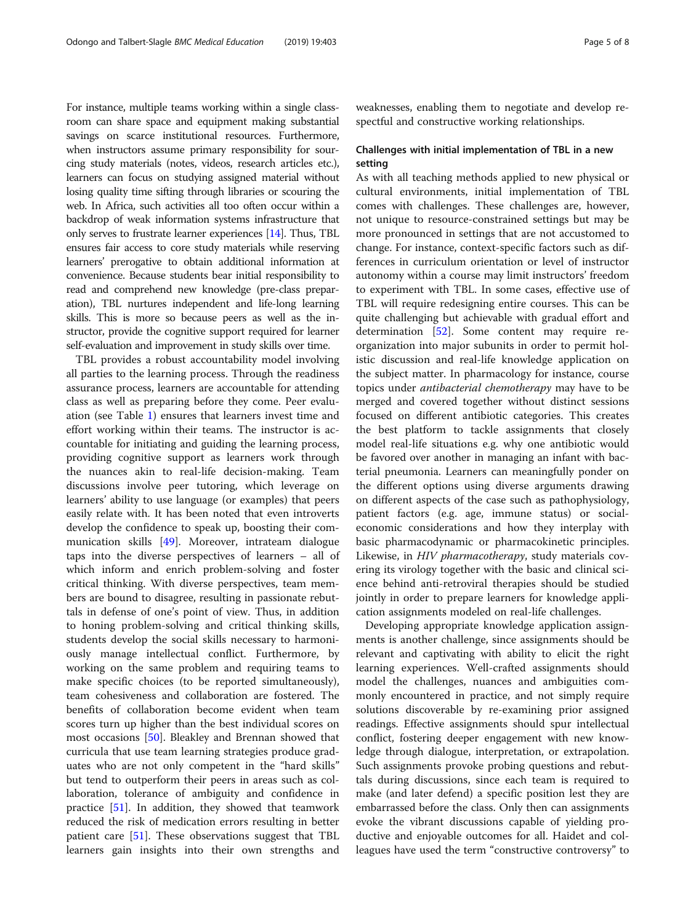For instance, multiple teams working within a single classroom can share space and equipment making substantial savings on scarce institutional resources. Furthermore, when instructors assume primary responsibility for sourcing study materials (notes, videos, research articles etc.), learners can focus on studying assigned material without losing quality time sifting through libraries or scouring the web. In Africa, such activities all too often occur within a backdrop of weak information systems infrastructure that only serves to frustrate learner experiences [[14](#page-6-0)]. Thus, TBL ensures fair access to core study materials while reserving learners' prerogative to obtain additional information at convenience. Because students bear initial responsibility to read and comprehend new knowledge (pre-class preparation), TBL nurtures independent and life-long learning skills. This is more so because peers as well as the instructor, provide the cognitive support required for learner self-evaluation and improvement in study skills over time.

TBL provides a robust accountability model involving all parties to the learning process. Through the readiness assurance process, learners are accountable for attending class as well as preparing before they come. Peer evaluation (see Table [1](#page-3-0)) ensures that learners invest time and effort working within their teams. The instructor is accountable for initiating and guiding the learning process, providing cognitive support as learners work through the nuances akin to real-life decision-making. Team discussions involve peer tutoring, which leverage on learners' ability to use language (or examples) that peers easily relate with. It has been noted that even introverts develop the confidence to speak up, boosting their communication skills [[49\]](#page-7-0). Moreover, intrateam dialogue taps into the diverse perspectives of learners – all of which inform and enrich problem-solving and foster critical thinking. With diverse perspectives, team members are bound to disagree, resulting in passionate rebuttals in defense of one's point of view. Thus, in addition to honing problem-solving and critical thinking skills, students develop the social skills necessary to harmoniously manage intellectual conflict. Furthermore, by working on the same problem and requiring teams to make specific choices (to be reported simultaneously), team cohesiveness and collaboration are fostered. The benefits of collaboration become evident when team scores turn up higher than the best individual scores on most occasions [[50](#page-7-0)]. Bleakley and Brennan showed that curricula that use team learning strategies produce graduates who are not only competent in the "hard skills" but tend to outperform their peers in areas such as collaboration, tolerance of ambiguity and confidence in practice [[51\]](#page-7-0). In addition, they showed that teamwork reduced the risk of medication errors resulting in better patient care  $[51]$  $[51]$ . These observations suggest that TBL learners gain insights into their own strengths and

weaknesses, enabling them to negotiate and develop respectful and constructive working relationships.

## Challenges with initial implementation of TBL in a new setting

As with all teaching methods applied to new physical or cultural environments, initial implementation of TBL comes with challenges. These challenges are, however, not unique to resource-constrained settings but may be more pronounced in settings that are not accustomed to change. For instance, context-specific factors such as differences in curriculum orientation or level of instructor autonomy within a course may limit instructors' freedom to experiment with TBL. In some cases, effective use of TBL will require redesigning entire courses. This can be quite challenging but achievable with gradual effort and determination [\[52](#page-7-0)]. Some content may require reorganization into major subunits in order to permit holistic discussion and real-life knowledge application on the subject matter. In pharmacology for instance, course topics under antibacterial chemotherapy may have to be merged and covered together without distinct sessions focused on different antibiotic categories. This creates the best platform to tackle assignments that closely model real-life situations e.g. why one antibiotic would be favored over another in managing an infant with bacterial pneumonia. Learners can meaningfully ponder on the different options using diverse arguments drawing on different aspects of the case such as pathophysiology, patient factors (e.g. age, immune status) or socialeconomic considerations and how they interplay with basic pharmacodynamic or pharmacokinetic principles. Likewise, in *HIV pharmacotherapy*, study materials covering its virology together with the basic and clinical science behind anti-retroviral therapies should be studied jointly in order to prepare learners for knowledge application assignments modeled on real-life challenges.

Developing appropriate knowledge application assignments is another challenge, since assignments should be relevant and captivating with ability to elicit the right learning experiences. Well-crafted assignments should model the challenges, nuances and ambiguities commonly encountered in practice, and not simply require solutions discoverable by re-examining prior assigned readings. Effective assignments should spur intellectual conflict, fostering deeper engagement with new knowledge through dialogue, interpretation, or extrapolation. Such assignments provoke probing questions and rebuttals during discussions, since each team is required to make (and later defend) a specific position lest they are embarrassed before the class. Only then can assignments evoke the vibrant discussions capable of yielding productive and enjoyable outcomes for all. Haidet and colleagues have used the term "constructive controversy" to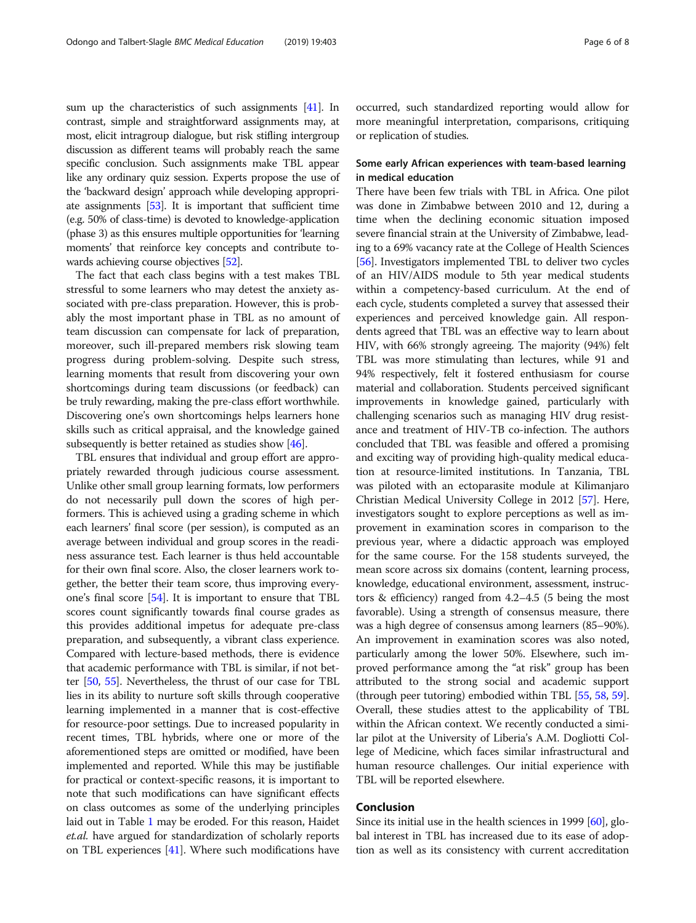sum up the characteristics of such assignments [[41](#page-7-0)]. In contrast, simple and straightforward assignments may, at most, elicit intragroup dialogue, but risk stifling intergroup discussion as different teams will probably reach the same specific conclusion. Such assignments make TBL appear like any ordinary quiz session. Experts propose the use of the 'backward design' approach while developing appropriate assignments [\[53](#page-7-0)]. It is important that sufficient time (e.g. 50% of class-time) is devoted to knowledge-application (phase 3) as this ensures multiple opportunities for 'learning moments' that reinforce key concepts and contribute towards achieving course objectives [\[52\]](#page-7-0).

The fact that each class begins with a test makes TBL stressful to some learners who may detest the anxiety associated with pre-class preparation. However, this is probably the most important phase in TBL as no amount of team discussion can compensate for lack of preparation, moreover, such ill-prepared members risk slowing team progress during problem-solving. Despite such stress, learning moments that result from discovering your own shortcomings during team discussions (or feedback) can be truly rewarding, making the pre-class effort worthwhile. Discovering one's own shortcomings helps learners hone skills such as critical appraisal, and the knowledge gained subsequently is better retained as studies show [\[46](#page-7-0)].

TBL ensures that individual and group effort are appropriately rewarded through judicious course assessment. Unlike other small group learning formats, low performers do not necessarily pull down the scores of high performers. This is achieved using a grading scheme in which each learners' final score (per session), is computed as an average between individual and group scores in the readiness assurance test. Each learner is thus held accountable for their own final score. Also, the closer learners work together, the better their team score, thus improving everyone's final score [\[54](#page-7-0)]. It is important to ensure that TBL scores count significantly towards final course grades as this provides additional impetus for adequate pre-class preparation, and subsequently, a vibrant class experience. Compared with lecture-based methods, there is evidence that academic performance with TBL is similar, if not better [\[50](#page-7-0), [55](#page-7-0)]. Nevertheless, the thrust of our case for TBL lies in its ability to nurture soft skills through cooperative learning implemented in a manner that is cost-effective for resource-poor settings. Due to increased popularity in recent times, TBL hybrids, where one or more of the aforementioned steps are omitted or modified, have been implemented and reported. While this may be justifiable for practical or context-specific reasons, it is important to note that such modifications can have significant effects on class outcomes as some of the underlying principles laid out in Table [1](#page-3-0) may be eroded. For this reason, Haidet et.al. have argued for standardization of scholarly reports on TBL experiences [\[41\]](#page-7-0). Where such modifications have

occurred, such standardized reporting would allow for more meaningful interpretation, comparisons, critiquing or replication of studies.

## Some early African experiences with team-based learning in medical education

There have been few trials with TBL in Africa. One pilot was done in Zimbabwe between 2010 and 12, during a time when the declining economic situation imposed severe financial strain at the University of Zimbabwe, leading to a 69% vacancy rate at the College of Health Sciences [[56](#page-7-0)]. Investigators implemented TBL to deliver two cycles of an HIV/AIDS module to 5th year medical students within a competency-based curriculum. At the end of each cycle, students completed a survey that assessed their experiences and perceived knowledge gain. All respondents agreed that TBL was an effective way to learn about HIV, with 66% strongly agreeing. The majority (94%) felt TBL was more stimulating than lectures, while 91 and 94% respectively, felt it fostered enthusiasm for course material and collaboration. Students perceived significant improvements in knowledge gained, particularly with challenging scenarios such as managing HIV drug resistance and treatment of HIV-TB co-infection. The authors concluded that TBL was feasible and offered a promising and exciting way of providing high-quality medical education at resource-limited institutions. In Tanzania, TBL was piloted with an ectoparasite module at Kilimanjaro Christian Medical University College in 2012 [\[57\]](#page-7-0). Here, investigators sought to explore perceptions as well as improvement in examination scores in comparison to the previous year, where a didactic approach was employed for the same course. For the 158 students surveyed, the mean score across six domains (content, learning process, knowledge, educational environment, assessment, instructors & efficiency) ranged from 4.2–4.5 (5 being the most favorable). Using a strength of consensus measure, there was a high degree of consensus among learners (85–90%). An improvement in examination scores was also noted, particularly among the lower 50%. Elsewhere, such improved performance among the "at risk" group has been attributed to the strong social and academic support (through peer tutoring) embodied within TBL [[55](#page-7-0), [58,](#page-7-0) [59](#page-7-0)]. Overall, these studies attest to the applicability of TBL within the African context. We recently conducted a similar pilot at the University of Liberia's A.M. Dogliotti College of Medicine, which faces similar infrastructural and human resource challenges. Our initial experience with TBL will be reported elsewhere.

## Conclusion

Since its initial use in the health sciences in 1999 [\[60](#page-7-0)], global interest in TBL has increased due to its ease of adoption as well as its consistency with current accreditation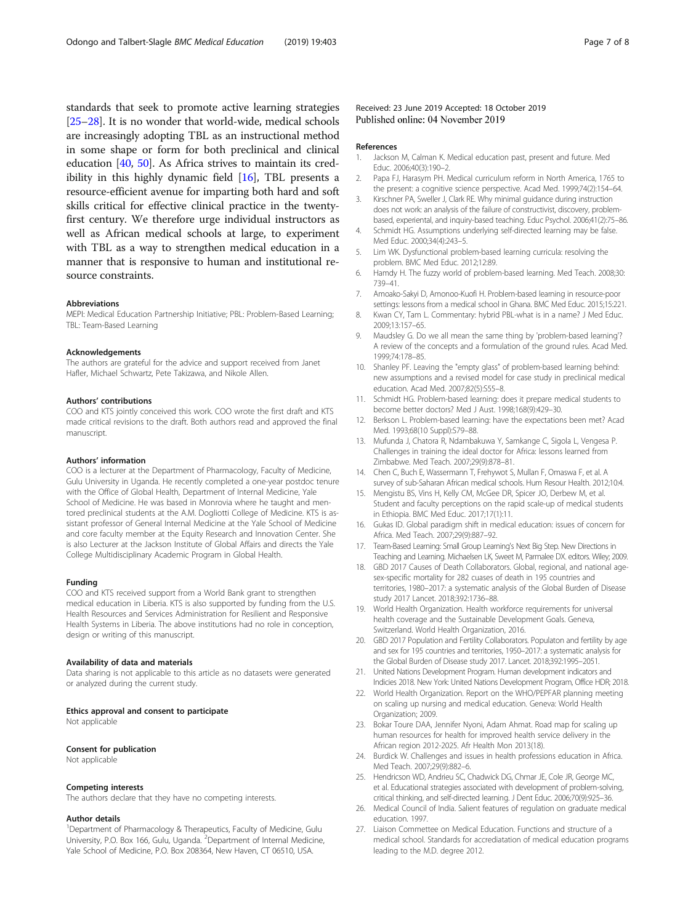<span id="page-6-0"></span>standards that seek to promote active learning strategies [25–[28\]](#page-7-0). It is no wonder that world-wide, medical schools are increasingly adopting TBL as an instructional method in some shape or form for both preclinical and clinical education [\[40](#page-7-0), [50](#page-7-0)]. As Africa strives to maintain its credibility in this highly dynamic field [16], TBL presents a resource-efficient avenue for imparting both hard and soft skills critical for effective clinical practice in the twentyfirst century. We therefore urge individual instructors as well as African medical schools at large, to experiment with TBL as a way to strengthen medical education in a manner that is responsive to human and institutional resource constraints.

#### Abbreviations

MEPI: Medical Education Partnership Initiative; PBL: Problem-Based Learning; TBL: Team-Based Learning

#### Acknowledgements

The authors are grateful for the advice and support received from Janet Hafler, Michael Schwartz, Pete Takizawa, and Nikole Allen.

#### Authors' contributions

COO and KTS jointly conceived this work. COO wrote the first draft and KTS made critical revisions to the draft. Both authors read and approved the final manuscript.

#### Authors' information

COO is a lecturer at the Department of Pharmacology, Faculty of Medicine, Gulu University in Uganda. He recently completed a one-year postdoc tenure with the Office of Global Health, Department of Internal Medicine, Yale School of Medicine. He was based in Monrovia where he taught and mentored preclinical students at the A.M. Dogliotti College of Medicine. KTS is assistant professor of General Internal Medicine at the Yale School of Medicine and core faculty member at the Equity Research and Innovation Center. She is also Lecturer at the Jackson Institute of Global Affairs and directs the Yale College Multidisciplinary Academic Program in Global Health.

#### Funding

COO and KTS received support from a World Bank grant to strengthen medical education in Liberia. KTS is also supported by funding from the U.S. Health Resources and Services Administration for Resilient and Responsive Health Systems in Liberia. The above institutions had no role in conception, design or writing of this manuscript.

#### Availability of data and materials

Data sharing is not applicable to this article as no datasets were generated or analyzed during the current study.

## Ethics approval and consent to participate

Not applicable

#### Consent for publication

Not applicable

#### Competing interests

The authors declare that they have no competing interests.

#### Author details

<sup>1</sup>Department of Pharmacology & Therapeutics, Faculty of Medicine, Gulu University, P.O. Box 166, Gulu, Uganda. <sup>2</sup>Department of Internal Medicine, Yale School of Medicine, P.O. Box 208364, New Haven, CT 06510, USA.

### Received: 23 June 2019 Accepted: 18 October 2019 Published online: 04 November 2019

#### References

- 1. Jackson M, Calman K. Medical education past, present and future. Med Educ. 2006;40(3):190–2.
- 2. Papa FJ, Harasym PH. Medical curriculum reform in North America, 1765 to the present: a cognitive science perspective. Acad Med. 1999;74(2):154–64.
- 3. Kirschner PA, Sweller J, Clark RE. Why minimal guidance during instruction does not work: an analysis of the failure of constructivist, discovery, problembased, experiental, and inquiry-based teaching. Educ Psychol. 2006;41(2):75–86.
- 4. Schmidt HG. Assumptions underlying self-directed learning may be false. Med Educ. 2000;34(4):243–5.
- Lim WK. Dysfunctional problem-based learning curricula: resolving the problem. BMC Med Educ. 2012;12:89.
- 6. Hamdy H. The fuzzy world of problem-based learning. Med Teach. 2008;30: 739–41.
- 7. Amoako-Sakyi D, Amonoo-Kuofi H. Problem-based learning in resource-poor settings: lessons from a medical school in Ghana. BMC Med Educ. 2015;15:221.
- 8. Kwan CY, Tam L. Commentary: hybrid PBL-what is in a name? J Med Educ. 2009;13:157–65.
- 9. Maudsley G. Do we all mean the same thing by 'problem-based learning'? A review of the concepts and a formulation of the ground rules. Acad Med. 1999;74:178–85.
- 10. Shanley PF. Leaving the "empty glass" of problem-based learning behind: new assumptions and a revised model for case study in preclinical medical education. Acad Med. 2007;82(5):S55–8.
- 11. Schmidt HG. Problem-based learning: does it prepare medical students to become better doctors? Med J Aust. 1998;168(9):429–30.
- 12. Berkson L. Problem-based learning: have the expectations been met? Acad Med. 1993;68(10 Suppl):S79–88.
- 13. Mufunda J, Chatora R, Ndambakuwa Y, Samkange C, Sigola L, Vengesa P. Challenges in training the ideal doctor for Africa: lessons learned from Zimbabwe. Med Teach. 2007;29(9):878–81.
- 14. Chen C, Buch E, Wassermann T, Frehywot S, Mullan F, Omaswa F, et al. A survey of sub-Saharan African medical schools. Hum Resour Health. 2012;10:4.
- 15. Mengistu BS, Vins H, Kelly CM, McGee DR, Spicer JO, Derbew M, et al. Student and faculty perceptions on the rapid scale-up of medical students in Ethiopia. BMC Med Educ. 2017;17(1):11.
- 16. Gukas ID. Global paradigm shift in medical education: issues of concern for Africa. Med Teach. 2007;29(9):887–92.
- 17. Team-Based Learning: Small Group Learning's Next Big Step. New Directions in Teaching and Learning. Michaelsen LK, Sweet M, Parmalee DX. editors. Wiley; 2009.
- 18. GBD 2017 Causes of Death Collaborators. Global, regional, and national agesex-specific mortality for 282 cuases of death in 195 countries and territories, 1980–2017: a systematic analysis of the Global Burden of Disease study 2017 Lancet. 2018;392:1736–88.
- 19. World Health Organization. Health workforce requirements for universal health coverage and the Sustainable Development Goals. Geneva, Switzerland. World Health Organization, 2016.
- 20. GBD 2017 Population and Fertility Collaborators. Populaton and fertility by age and sex for 195 countries and territories, 1950–2017: a systematic analysis for the Global Burden of Disease study 2017. Lancet. 2018;392:1995–2051.
- 21. United Nations Development Program. Human development indicators and Indicies 2018. New York: United Nations Development Program, Office HDR; 2018.
- 22. World Health Organization. Report on the WHO/PEPFAR planning meeting on scaling up nursing and medical education. Geneva: World Health Organization; 2009.
- 23. Bokar Toure DAA, Jennifer Nyoni, Adam Ahmat. Road map for scaling up human resources for health for improved health service delivery in the African region 2012-2025. Afr Health Mon 2013(18).
- 24. Burdick W. Challenges and issues in health professions education in Africa. Med Teach. 2007;29(9):882–6.
- 25. Hendricson WD, Andrieu SC, Chadwick DG, Chmar JE, Cole JR, George MC, et al. Educational strategies associated with development of problem-solving, critical thinking, and self-directed learning. J Dent Educ. 2006;70(9):925–36.
- 26. Medical Council of India. Salient features of regulation on graduate medical education. 1997.
- 27. Liaison Commettee on Medical Education. Functions and structure of a medical school. Standards for accrediatation of medical education programs leading to the M.D. degree 2012.